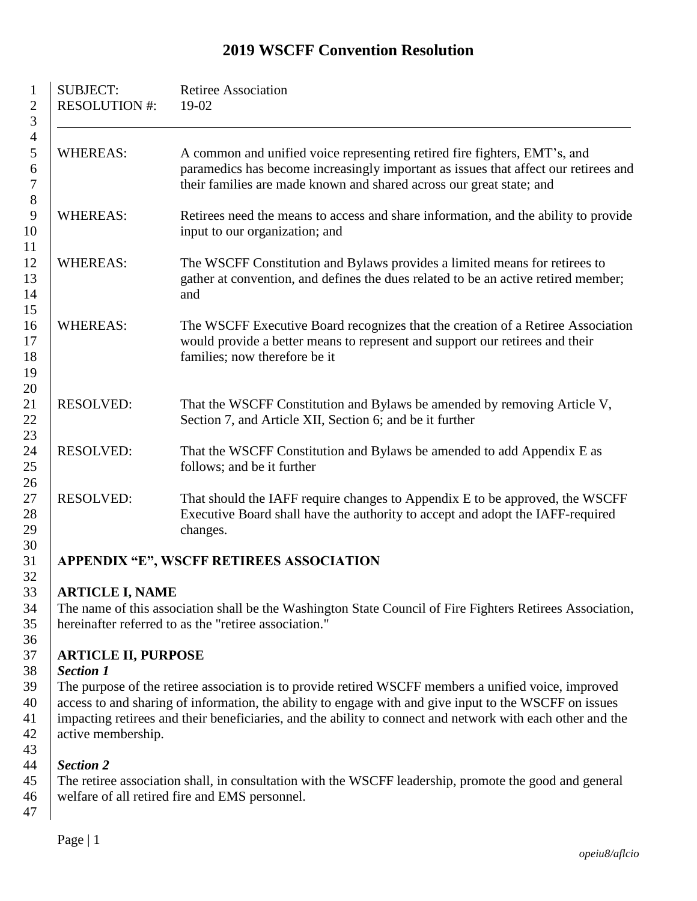#### SUBJECT: Retiree Association 2 RESOLUTION  $\#$ : 19-02 WHEREAS: A common and unified voice representing retired fire fighters, EMT's, and paramedics has become increasingly important as issues that affect our retirees and their families are made known and shared across our great state; and WHEREAS: Retirees need the means to access and share information, and the ability to provide 10 input to our organization; and WHEREAS: The WSCFF Constitution and Bylaws provides a limited means for retirees to gather at convention, and defines the dues related to be an active retired member; 14 and WHEREAS: The WSCFF Executive Board recognizes that the creation of a Retiree Association would provide a better means to represent and support our retirees and their **families**; now therefore be it RESOLVED: That the WSCFF Constitution and Bylaws be amended by removing Article V, Section 7, and Article XII, Section 6; and be it further RESOLVED: That the WSCFF Constitution and Bylaws be amended to add Appendix E as follows; and be it further RESOLVED: That should the IAFF require changes to Appendix E to be approved, the WSCFF Executive Board shall have the authority to accept and adopt the IAFF-required changes. **APPENDIX "E", WSCFF RETIREES ASSOCIATION**

# **WSCFF Convention Resolution**

# **ARTICLE I, NAME**

 The name of this association shall be the Washington State Council of Fire Fighters Retirees Association, hereinafter referred to as the "retiree association."

## **ARTICLE II, PURPOSE**

# *Section 1*

 The purpose of the retiree association is to provide retired WSCFF members a unified voice, improved access to and sharing of information, the ability to engage with and give input to the WSCFF on issues impacting retirees and their beneficiaries, and the ability to connect and network with each other and the 42 active membership.

# *Section 2*

 The retiree association shall, in consultation with the WSCFF leadership, promote the good and general welfare of all retired fire and EMS personnel. 

Page | 1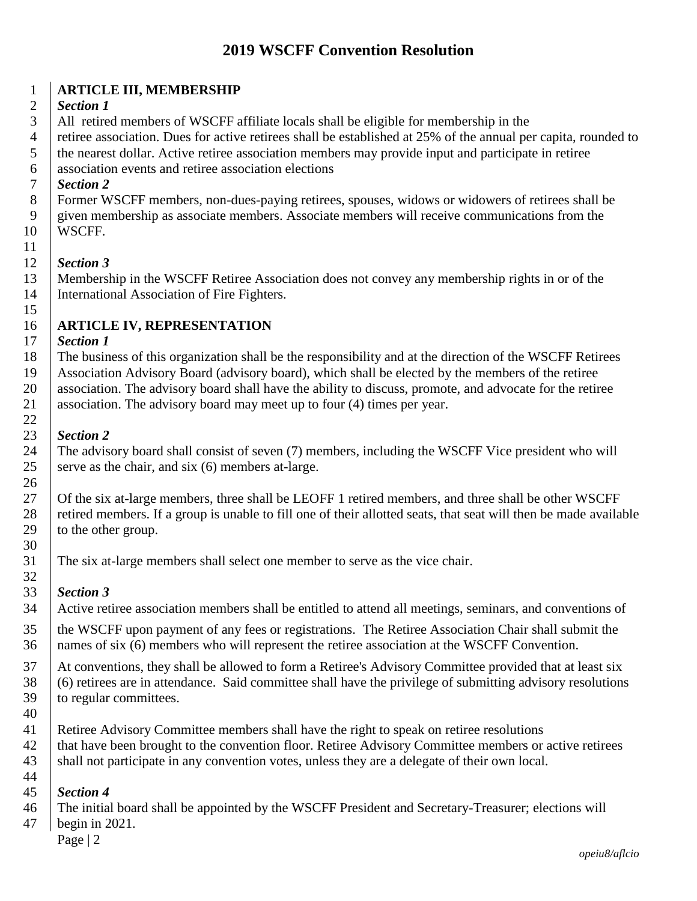# **WSCFF Convention Resolution**

#### **ARTICLE III, MEMBERSHIP**

#### *Section 1*

All retired members of WSCFF affiliate locals shall be eligible for membership in the

4 retiree association. Dues for active retirees shall be established at 25% of the annual per capita, rounded to

the nearest dollar. Active retiree association members may provide input and participate in retiree

association events and retiree association elections

#### *Section 2*

 Former WSCFF members, non-dues-paying retirees, spouses, widows or widowers of retirees shall be given membership as associate members. Associate members will receive communications from the WSCFF.

#### *Section 3*

 Membership in the WSCFF Retiree Association does not convey any membership rights in or of the International Association of Fire Fighters.

## **ARTICLE IV, REPRESENTATION**

#### *Section 1*

 The business of this organization shall be the responsibility and at the direction of the WSCFF Retirees Association Advisory Board (advisory board), which shall be elected by the members of the retiree 20 association. The advisory board shall have the ability to discuss, promote, and advocate for the retiree 21 association. The advisory board may meet up to four (4) times per year. 

#### *Section 2*

 The advisory board shall consist of seven (7) members, including the WSCFF Vice president who will 25 serve as the chair, and six  $(6)$  members at-large.

27 Of the six at-large members, three shall be LEOFF 1 retired members, and three shall be other WSCFF 28 retired members. If a group is unable to fill one of their allotted seats, that seat will then be made available to the other group. 

The six at-large members shall select one member to serve as the vice chair.

#### *Section 3*

Active retiree association members shall be entitled to attend all meetings, seminars, and conventions of

 the WSCFF upon payment of any fees or registrations. The Retiree Association Chair shall submit the names of six (6) members who will represent the retiree association at the WSCFF Convention.

37 At conventions, they shall be allowed to form a Retiree's Advisory Committee provided that at least six (6) retirees are in attendance. Said committee shall have the privilege of submitting advisory resolutions to regular committees.

- 
- Retiree Advisory Committee members shall have the right to speak on retiree resolutions

42 that have been brought to the convention floor. Retiree Advisory Committee members or active retirees 43 shall not participate in any convention votes, unless they are a delegate of their own local. 

# *Section 4*

The initial board shall be appointed by the WSCFF President and Secretary-Treasurer; elections will

begin in 2021.

Page | 2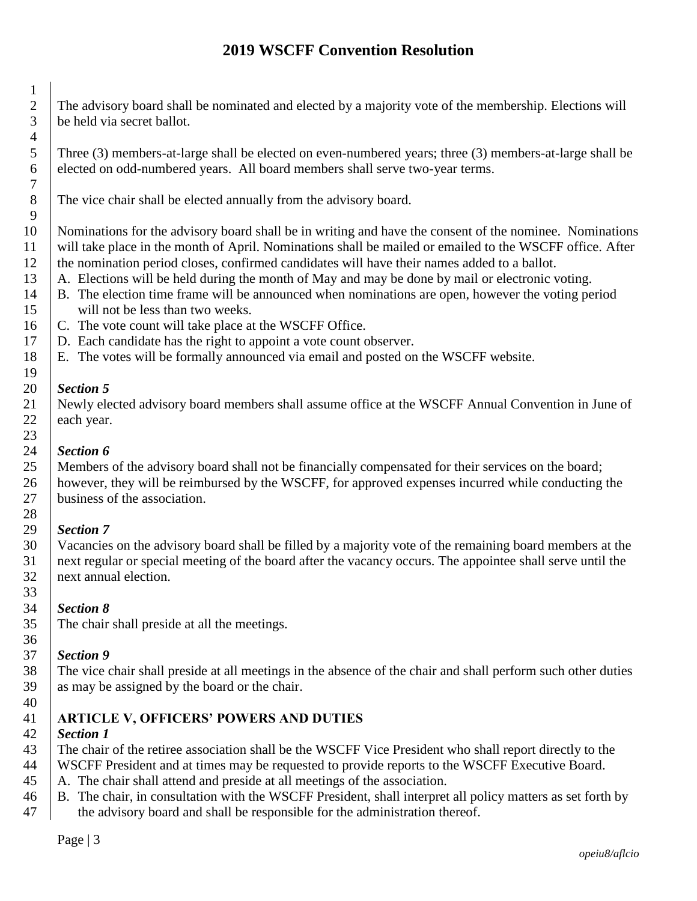# **WSCFF Convention Resolution**

 The advisory board shall be nominated and elected by a majority vote of the membership. Elections will be held via secret ballot.

 Three (3) members-at-large shall be elected on even-numbered years; three (3) members-at-large shall be elected on odd-numbered years. All board members shall serve two-year terms.

The vice chair shall be elected annually from the advisory board.

 Nominations for the advisory board shall be in writing and have the consent of the nominee. Nominations will take place in the month of April. Nominations shall be mailed or emailed to the WSCFF office. After the nomination period closes, confirmed candidates will have their names added to a ballot.

- 13  $\parallel$  A. Elections will be held during the month of May and may be done by mail or electronic voting.
- B. The election time frame will be announced when nominations are open, however the voting period will not be less than two weeks.
- 16 C. The vote count will take place at the WSCFF Office.
- D. Each candidate has the right to appoint a vote count observer.
- E. The votes will be formally announced via email and posted on the WSCFF website.

#### *Section 5*

 Newly elected advisory board members shall assume office at the WSCFF Annual Convention in June of each year.

#### *Section 6*

 Members of the advisory board shall not be financially compensated for their services on the board; however, they will be reimbursed by the WSCFF, for approved expenses incurred while conducting the 27 business of the association.

## *Section 7*

 Vacancies on the advisory board shall be filled by a majority vote of the remaining board members at the next regular or special meeting of the board after the vacancy occurs. The appointee shall serve until the next annual election.

#### *Section 8*

The chair shall preside at all the meetings.

#### *Section 9*

 The vice chair shall preside at all meetings in the absence of the chair and shall perform such other duties as may be assigned by the board or the chair.

#### **ARTICLE V, OFFICERS' POWERS AND DUTIES**

## *Section 1*

The chair of the retiree association shall be the WSCFF Vice President who shall report directly to the

WSCFF President and at times may be requested to provide reports to the WSCFF Executive Board.

- A. The chair shall attend and preside at all meetings of the association.
- B. The chair, in consultation with the WSCFF President, shall interpret all policy matters as set forth by 47 the advisory board and shall be responsible for the administration thereof.